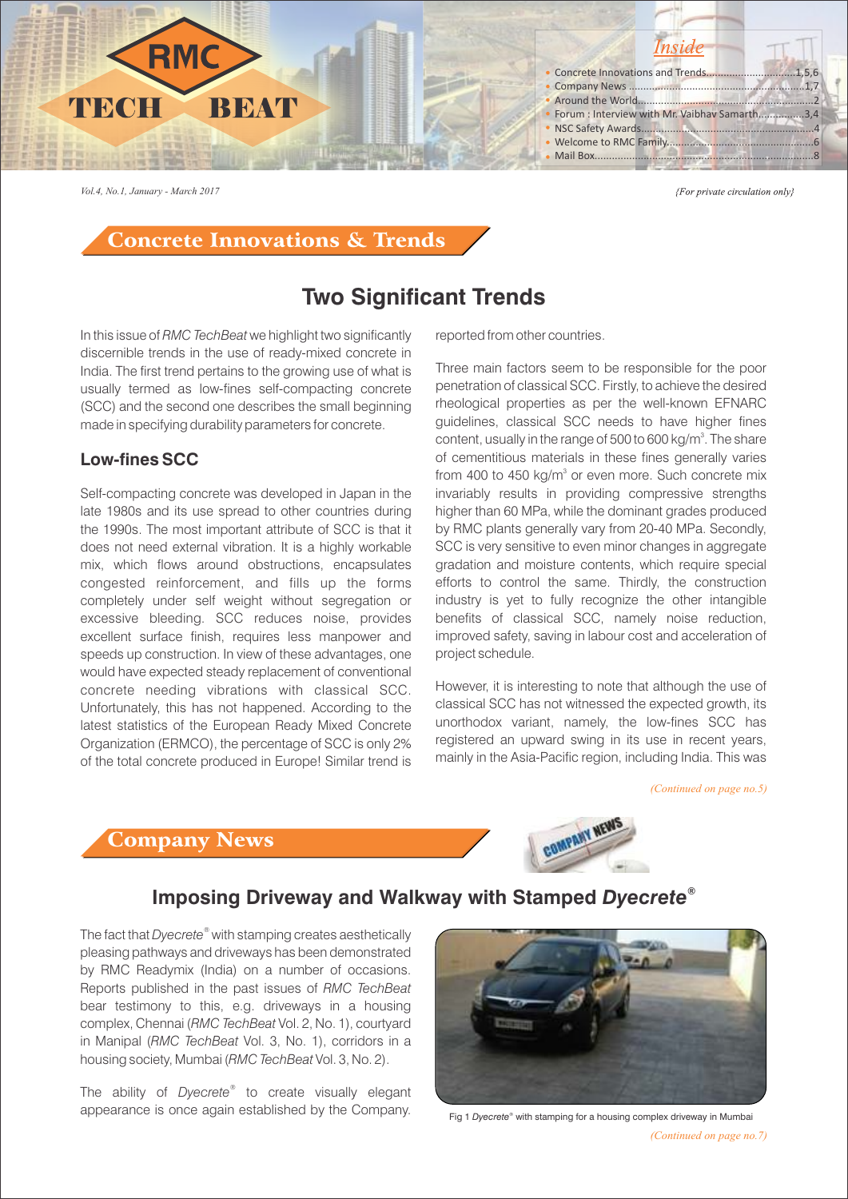

*Vol.4, No.1, January - March 2017*

{For private circulation only}

Concrete Innovations & Trends

# **Two Significant Trends**

In this issue of *RMC TechBeat* we highlight two significantly discernible trends in the use of ready-mixed concrete in India. The first trend pertains to the growing use of what is usually termed as low-fines self-compacting concrete (SCC) and the second one describes the small beginning made in specifying durability parameters for concrete.

### **Low-fines SCC**

Self-compacting concrete was developed in Japan in the late 1980s and its use spread to other countries during the 1990s. The most important attribute of SCC is that it does not need external vibration. It is a highly workable mix, which flows around obstructions, encapsulates congested reinforcement, and fills up the forms completely under self weight without segregation or excessive bleeding. SCC reduces noise, provides excellent surface finish, requires less manpower and speeds up construction. In view of these advantages, one would have expected steady replacement of conventional concrete needing vibrations with classical SCC. Unfortunately, this has not happened. According to the latest statistics of the European Ready Mixed Concrete Organization (ERMCO), the percentage of SCC is only 2% of the total concrete produced in Europe! Similar trend is reported from other countries.

Three main factors seem to be responsible for the poor penetration of classical SCC. Firstly, to achieve the desired rheological properties as per the well-known EFNARC guidelines, classical SCC needs to have higher fines content, usually in the range of 500 to 600 kg/m<sup>3</sup>. The share of cementitious materials in these fines generally varies from 400 to 450 kg/m $3$  or even more. Such concrete mix invariably results in providing compressive strengths higher than 60 MPa, while the dominant grades produced by RMC plants generally vary from 20-40 MPa. Secondly, SCC is very sensitive to even minor changes in aggregate gradation and moisture contents, which require special efforts to control the same. Thirdly, the construction industry is yet to fully recognize the other intangible benefits of classical SCC, namely noise reduction, improved safety, saving in labour cost and acceleration of project schedule.

However, it is interesting to note that although the use of classical SCC has not witnessed the expected growth, its unorthodox variant, namely, the low-fines SCC has registered an upward swing in its use in recent years, mainly in the Asia-Pacific region, including India. This was

*(Continued on page no.5)*

### Company News



### *®* **Imposing Driveway and Walkway with Stamped** *Dyecrete*

*®* The fact that *Dyecrete* with stamping creates aesthetically pleasing pathways and driveways has been demonstrated by RMC Readymix (India) on a number of occasions. Reports published in the past issues of *RMC TechBeat* bear testimony to this, e.g. driveways in a housing complex, Chennai (*RMC TechBeat* Vol. 2, No. 1), courtyard in Manipal (*RMC TechBeat* Vol. 3, No. 1), corridors in a housing society, Mumbai (*RMC TechBeat* Vol. 3, No. 2).

*®* The ability of *Dyecrete* to create visually elegant appearance is once again established by the Company.



*(Continued on page no.7)* Fig 1 Dyecrete® with stamping for a housing complex driveway in Mumbai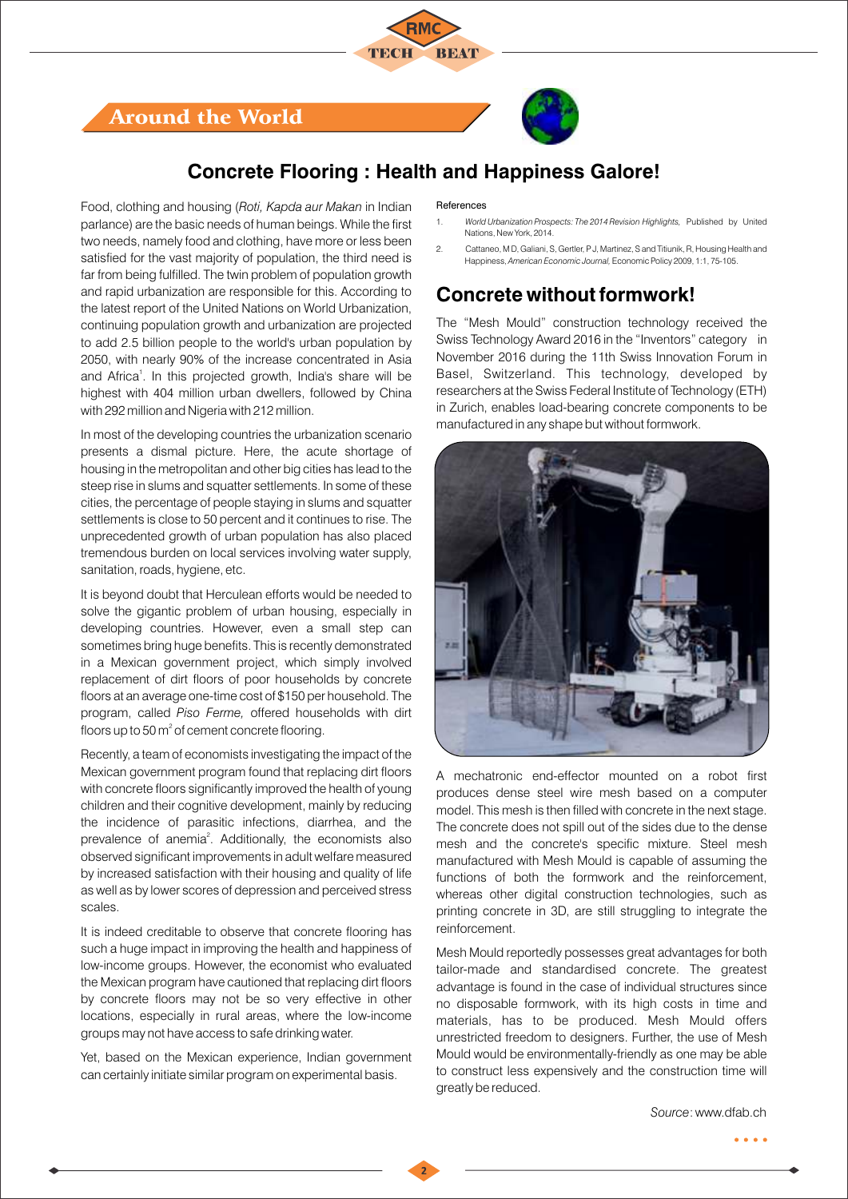



### **Concrete Flooring : Health and Happiness Galore!**

Food, clothing and housing (*Roti, Kapda aur Makan* in Indian parlance) are the basic needs of human beings. While the first two needs, namely food and clothing, have more or less been satisfied for the vast majority of population, the third need is far from being fulfilled. The twin problem of population growth and rapid urbanization are responsible for this. According to the latest report of the United Nations on World Urbanization, continuing population growth and urbanization are projected to add 2.5 billion people to the world's urban population by 2050, with nearly 90% of the increase concentrated in Asia and Africa<sup>1</sup>. In this projected growth, India's share will be highest with 404 million urban dwellers, followed by China with 292 million and Nigeria with 212 million.

In most of the developing countries the urbanization scenario presents a dismal picture. Here, the acute shortage of housing in the metropolitan and other big cities has lead to the steep rise in slums and squatter settlements. In some of these cities, the percentage of people staying in slums and squatter settlements is close to 50 percent and it continues to rise. The unprecedented growth of urban population has also placed tremendous burden on local services involving water supply, sanitation, roads, hygiene, etc.

It is beyond doubt that Herculean efforts would be needed to solve the gigantic problem of urban housing, especially in developing countries. However, even a small step can sometimes bring huge benefits. This is recently demonstrated in a Mexican government project, which simply involved replacement of dirt floors of poor households by concrete floors at an average one-time cost of \$150 per household. The program, called *Piso Ferme,* offered households with dirt floors up to 50  $m^2$  of cement concrete flooring.

Recently, a team of economists investigating the impact of the Mexican government program found that replacing dirt floors with concrete floors significantly improved the health of young children and their cognitive development, mainly by reducing the incidence of parasitic infections, diarrhea, and the prevalence of anemia<sup>2</sup>. Additionally, the economists also observed significant improvements in adult welfare measured by increased satisfaction with their housing and quality of life as well as by lower scores of depression and perceived stress scales.

It is indeed creditable to observe that concrete flooring has such a huge impact in improving the health and happiness of low-income groups. However, the economist who evaluated the Mexican program have cautioned that replacing dirt floors by concrete floors may not be so very effective in other locations, especially in rural areas, where the low-income groups may not have access to safe drinking water.

Yet, based on the Mexican experience, Indian government can certainly initiate similar program on experimental basis.

#### References

- 1. *World Urbanization Prospects: The 2014 Revision Highlights,* Published by United Nations, New York, 2014.
- 2. Cattaneo, M D, Galiani, S, Gertler, P J, Martinez, S and Titiunik, R, Housing Health and Happiness, *American Economic Journal,* Economic Policy 2009, 1:1, 75-105.

### **Concrete without formwork!**

The "Mesh Mould" construction technology received the Swiss Technology Award 2016 in the "Inventors" category in November 2016 during the 11th Swiss Innovation Forum in Basel, Switzerland. This technology, developed by researchers at the Swiss Federal Institute of Technology (ETH) in Zurich, enables load-bearing concrete components to be manufactured in any shape but without formwork.



A mechatronic end-effector mounted on a robot first produces dense steel wire mesh based on a computer model. This mesh is then filled with concrete in the next stage. The concrete does not spill out of the sides due to the dense mesh and the concrete's specific mixture. Steel mesh manufactured with Mesh Mould is capable of assuming the functions of both the formwork and the reinforcement, whereas other digital construction technologies, such as printing concrete in 3D, are still struggling to integrate the reinforcement.

Mesh Mould reportedly possesses great advantages for both tailor-made and standardised concrete. The greatest advantage is found in the case of individual structures since no disposable formwork, with its high costs in time and materials, has to be produced. Mesh Mould offers unrestricted freedom to designers. Further, the use of Mesh Mould would be environmentally-friendly as one may be able to construct less expensively and the construction time will greatly be reduced.

*Source*: www.dfab.ch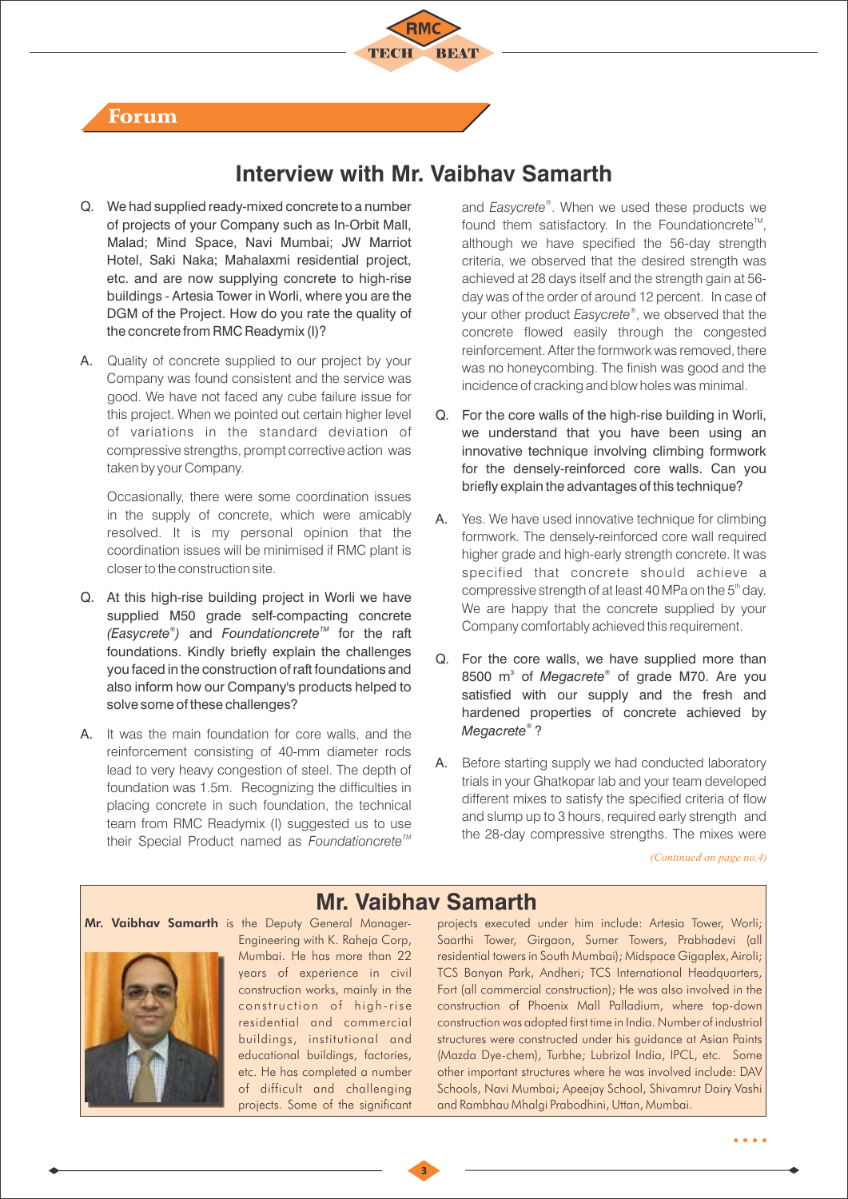

# **Interview with Mr. Vaibhav Samarth**

- Q. We had supplied ready-mixed concrete to a number of projects of your Company such as In-Orbit Mall, Malad; Mind Space, Navi Mumbai; JW Marriot Hotel, Saki Naka; Mahalaxmi residential project, etc. and are now supplying concrete to high-rise buildings - Artesia Tower in Worli, where you are the DGM of the Project. How do you rate the quality of the concrete from RMC Readymix (I)?
- A. Quality of concrete supplied to our project by your Company was found consistent and the service was good. We have not faced any cube failure issue for this project. When we pointed out certain higher level of variations in the standard deviation of compressive strengths, prompt corrective action was taken by your Company.

Occasionally, there were some coordination issues in the supply of concrete, which were amicably resolved. It is my personal opinion that the coordination issues will be minimised if RMC plant is closer to the construction site.

- Q. At this high-rise building project in Worli we have supplied M50 grade self-compacting concrete *(Easycrete®)* and *Foundationcrete<sup>™</sup> for the raft* foundations. Kindly briefly explain the challenges you faced in the construction of raft foundations and also inform how our Company's products helped to solve some of these challenges?
- A. It was the main foundation for core walls, and the reinforcement consisting of 40-mm diameter rods lead to very heavy congestion of steel. The depth of foundation was 1.5m. Recognizing the difficulties in placing concrete in such foundation, the technical team from RMC Readymix (I) suggested us to use their Special Product named as *Foundationcrete<sup>™</sup>*

*®* and *Easycrete* . When we used these products we found them satisfactory. In the Foundationcrete<sup>TM</sup>. although we have specified the 56-day strength criteria, we observed that the desired strength was achieved at 28 days itself and the strength gain at 56 day was of the order of around 12 percent. In case of your other product *Easycrete*<sup>®</sup>, we observed that the concrete flowed easily through the congested reinforcement. After the formwork was removed, there was no honeycombing. The finish was good and the incidence of cracking and blow holes was minimal.

- Q. For the core walls of the high-rise building in Worli, we understand that you have been using an innovative technique involving climbing formwork for the densely-reinforced core walls. Can you briefly explain the advantages of this technique?
- A. Yes. We have used innovative technique for climbing formwork. The densely-reinforced core wall required higher grade and high-early strength concrete. It was specified that concrete should achieve a compressive strength of at least 40 MPa on the  $5<sup>th</sup>$  day. We are happy that the concrete supplied by your Company comfortably achieved this requirement.
- Q. For the core walls, we have supplied more than 8500 m<sup>3</sup> of *Megacrete*<sup>®</sup> of grade M70. Are you satisfied with our supply and the fresh and hardened properties of concrete achieved by *® Megacrete* ?
- A. Before starting supply we had conducted laboratory trials in your Ghatkopar lab and your team developed different mixes to satisfy the specified criteria of flow and slump up to 3 hours, required early strength and the 28-day compressive strengths. The mixes were

*(Continued on page no.4)*

### **Mr. Vaibhav Samarth**

Mr. Vaibhav Samarth is the Deputy General Manager-



Engineering with K. Raheja Corp, Mumbai. He has more than 22 years of experience in civil construction works, mainly in the construction of high-rise residential and commercial buildings, institutional and educational buildings, factories, etc. He has completed a number of difficult and challenging projects. Some of the significant

projects executed under him include: Artesia Tower, Worli; Saarthi Tower, Girgaon, Sumer Towers, Prabhadevi (all residential towers in South Mumbai); Midspace Gigaplex, Airoli; TCS Banyan Park, Andheri; TCS International Headquarters, Fort (all commercial construction); He was also involved in the construction of Phoenix Mall Palladium, where top-down construction was adopted first time in India. Number of industrial structures were constructed under his guidance at Asian Paints (Mazda Dye-chem), Turbhe; Lubrizol India, IPCL, etc. Some other important structures where he was involved include: DAV Schools, Navi Mumbai; Apeejay School, Shivamrut Dairy Vashi and Rambhau Mhalgi Prabodhini, Uttan, Mumbai.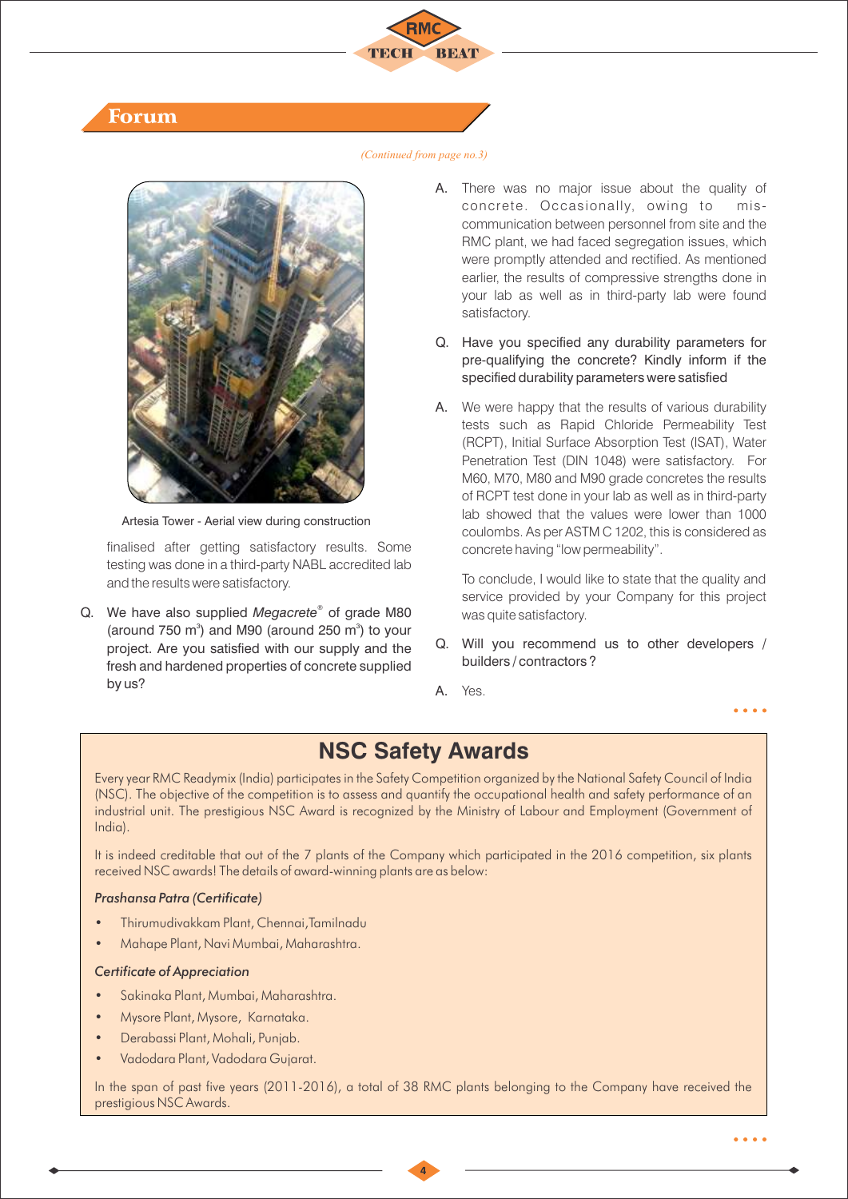

*(Continued from page no.3)*

# Forum

Artesia Tower - Aerial view during construction

finalised after getting satisfactory results. Some testing was done in a third-party NABL accredited lab and the results were satisfactory.

*®* Q. We have also supplied *Megacrete* of grade M80 (around 750  $m^3$ ) and M90 (around 250  $m^3$ ) to your project. Are you satisfied with our supply and the fresh and hardened properties of concrete supplied by us?

- A. There was no major issue about the quality of concrete. Occasionally, owing to miscommunication between personnel from site and the RMC plant, we had faced segregation issues, which were promptly attended and rectified. As mentioned earlier, the results of compressive strengths done in your lab as well as in third-party lab were found satisfactory.
- Q. Have you specified any durability parameters for pre-qualifying the concrete? Kindly inform if the specified durability parameters were satisfied
- A. We were happy that the results of various durability tests such as Rapid Chloride Permeability Test (RCPT), Initial Surface Absorption Test (ISAT), Water Penetration Test (DIN 1048) were satisfactory. For M60, M70, M80 and M90 grade concretes the results of RCPT test done in your lab as well as in third-party lab showed that the values were lower than 1000 coulombs. As per ASTM C 1202, this is considered as concrete having "low permeability".

To conclude, I would like to state that the quality and service provided by your Company for this project was quite satisfactory.

- Q. Will you recommend us to other developers / builders / contractors ?
- A. Yes.

# **NSC Safety Awards**

Every year RMC Readymix (India) participates in the Safety Competition organized by the National Safety Council of India (NSC). The objective of the competition is to assess and quantify the occupational health and safety performance of an industrial unit. The prestigious NSC Award is recognized by the Ministry of Labour and Employment (Government of India).

It is indeed creditable that out of the 7 plants of the Company which participated in the 2016 competition, six plants received NSC awards! The details of award-winning plants are as below:

### *Prashansa Patra (Certificate)*

- Thirumudivakkam Plant, Chennai,Tamilnadu
- Mahape Plant, Navi Mumbai, Maharashtra.

### *Certificate of Appreciation*

- Sakinaka Plant, Mumbai, Maharashtra.
- Mysore Plant, Mysore, Karnataka.
- Derabassi Plant, Mohali, Punjab.
- Vadodara Plant, Vadodara Gujarat.

In the span of past five years (2011-2016), a total of 38 RMC plants belonging to the Company have received the prestigious NSC Awards.



 $\bullet$   $\bullet$   $\bullet$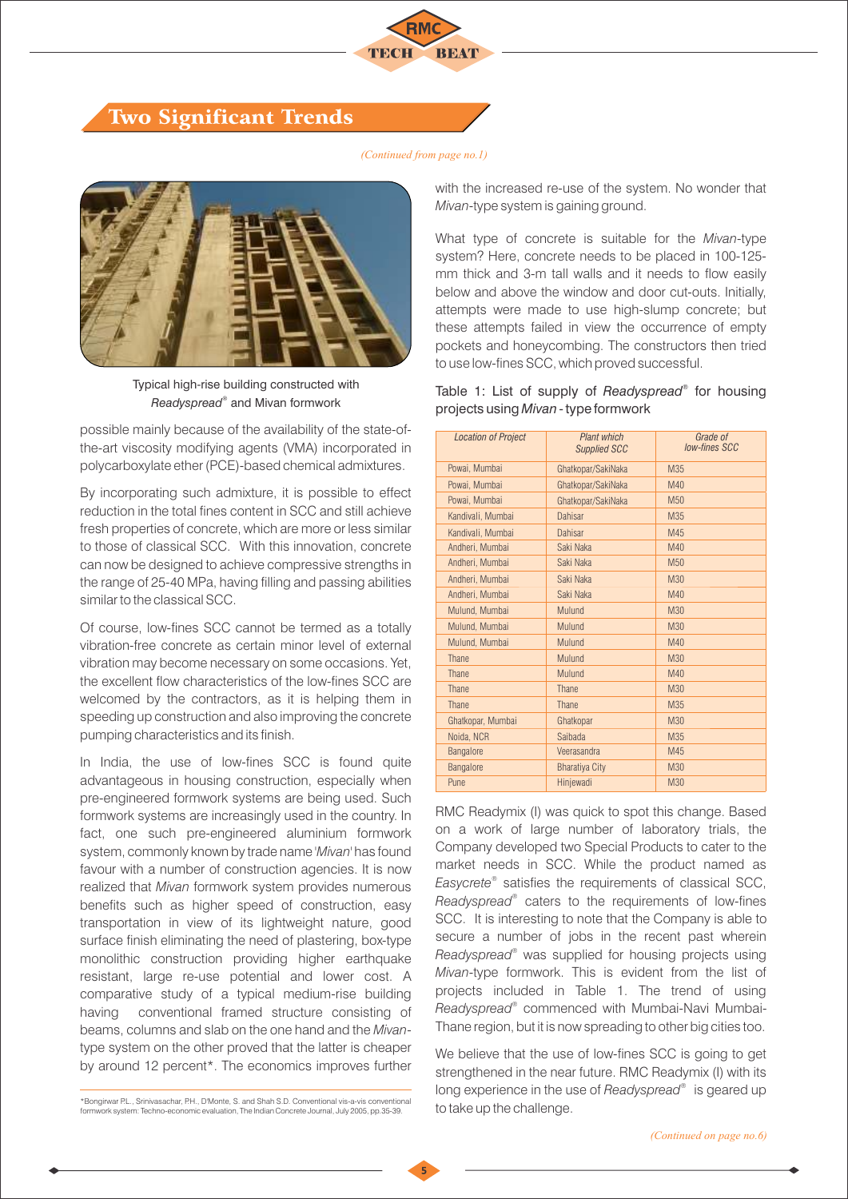

## Two Significant Trends



Typical high-rise building constructed with  $Readyspread^*$  and Mivan formwork

possible mainly because of the availability of the state-ofthe-art viscosity modifying agents (VMA) incorporated in polycarboxylate ether (PCE)-based chemical admixtures.

By incorporating such admixture, it is possible to effect reduction in the total fines content in SCC and still achieve fresh properties of concrete, which are more or less similar to those of classical SCC. With this innovation, concrete can now be designed to achieve compressive strengths in the range of 25-40 MPa, having filling and passing abilities similar to the classical SCC.

Of course, low-fines SCC cannot be termed as a totally vibration-free concrete as certain minor level of external vibration may become necessary on some occasions. Yet, the excellent flow characteristics of the low-fines SCC are welcomed by the contractors, as it is helping them in speeding up construction and also improving the concrete pumping characteristics and its finish.

In India, the use of low-fines SCC is found quite advantageous in housing construction, especially when pre-engineered formwork systems are being used. Such formwork systems are increasingly used in the country. In fact, one such pre-engineered aluminium formwork system, commonly known by trade name *'Mivan'* has found favour with a number of construction agencies. It is now realized that *Mivan* formwork system provides numerous benefits such as higher speed of construction, easy transportation in view of its lightweight nature, good surface finish eliminating the need of plastering, box-type monolithic construction providing higher earthquake resistant, large re-use potential and lower cost. A comparative study of a typical medium-rise building having conventional framed structure consisting of beams, columns and slab on the one hand and the *Mivan*type system on the other proved that the latter is cheaper by around 12 percent\*. The economics improves further

\*Bongirwar P.L., Srinivasachar, P.H., D'Monte, S. and Shah S.D. Conventional vis-a-vis conventional formwork system: Techno-economic evaluation, The Indian Concrete Journal, July 2005, pp.35-39.

*(Continued from page no.1)*

with the increased re-use of the system. No wonder that *Mivan*-type system is gaining ground.

What type of concrete is suitable for the *Mivan*-type system? Here, concrete needs to be placed in 100-125 mm thick and 3-m tall walls and it needs to flow easily below and above the window and door cut-outs. Initially, attempts were made to use high-slump concrete; but these attempts failed in view the occurrence of empty pockets and honeycombing. The constructors then tried to use low-fines SCC, which proved successful.

Table 1: List of supply of *Readyspread®* for housing projects using *Mivan* - type formwork

| <b>Location of Project</b> | <b>Plant which</b><br><b>Supplied SCC</b> | Grade of<br><b>Iow-fines SCC</b> |
|----------------------------|-------------------------------------------|----------------------------------|
| Powai, Mumbai              | Ghatkopar/SakiNaka                        | M35                              |
| Powai, Mumbai              | Ghatkopar/SakiNaka                        | M40                              |
| Powai. Mumbai              | Ghatkopar/SakiNaka                        | M <sub>50</sub>                  |
| Kandivali, Mumbai          | Dahisar                                   | M35                              |
| Kandivali, Mumbai          | <b>Dahisar</b>                            | M45                              |
| Andheri, Mumbai            | Saki Naka                                 | M40                              |
| Andheri, Mumbai            | Saki Naka                                 | M50                              |
| Andheri, Mumbai            | Saki Naka                                 | M30                              |
| Andheri, Mumbai            | Saki Naka                                 | M40                              |
| Mulund, Mumbai             | Mulund                                    | M30                              |
| Mulund, Mumbai             | Mulund                                    | M30                              |
| Mulund, Mumbai             | Mulund                                    | M40                              |
| Thane                      | Mulund                                    | M30                              |
| Thane                      | Mulund                                    | M40                              |
| Thane                      | Thane                                     | M30                              |
| Thane                      | Thane                                     | M35                              |
| Ghatkopar, Mumbai          | Ghatkopar                                 | M30                              |
| Noida, NCR                 | Saibada                                   | M35                              |
| <b>Bangalore</b>           | Veerasandra                               | M45                              |
| <b>Bangalore</b>           | <b>Bharatiya City</b>                     | M30                              |
| Pune                       | Hinjewadi                                 | M30                              |

RMC Readymix (I) was quick to spot this change. Based on a work of large number of laboratory trials, the Company developed two Special Products to cater to the market needs in SCC. While the product named as *® Easycrete* satisfies the requirements of classical SCC, *® Readyspread* caters to the requirements of low-fines SCC. It is interesting to note that the Company is able to secure a number of jobs in the recent past wherein *® Readyspread* was supplied for housing projects using *Mivan*-type formwork. This is evident from the list of projects included in Table 1. The trend of using *® Readyspread* commenced with Mumbai-Navi Mumbai-Thane region, but it is now spreading to other big cities too.

We believe that the use of low-fines SCC is going to get strengthened in the near future. RMC Readymix (I) with its long experience in the use of *Readyspread*<sup>®</sup> is geared up to take up the challenge.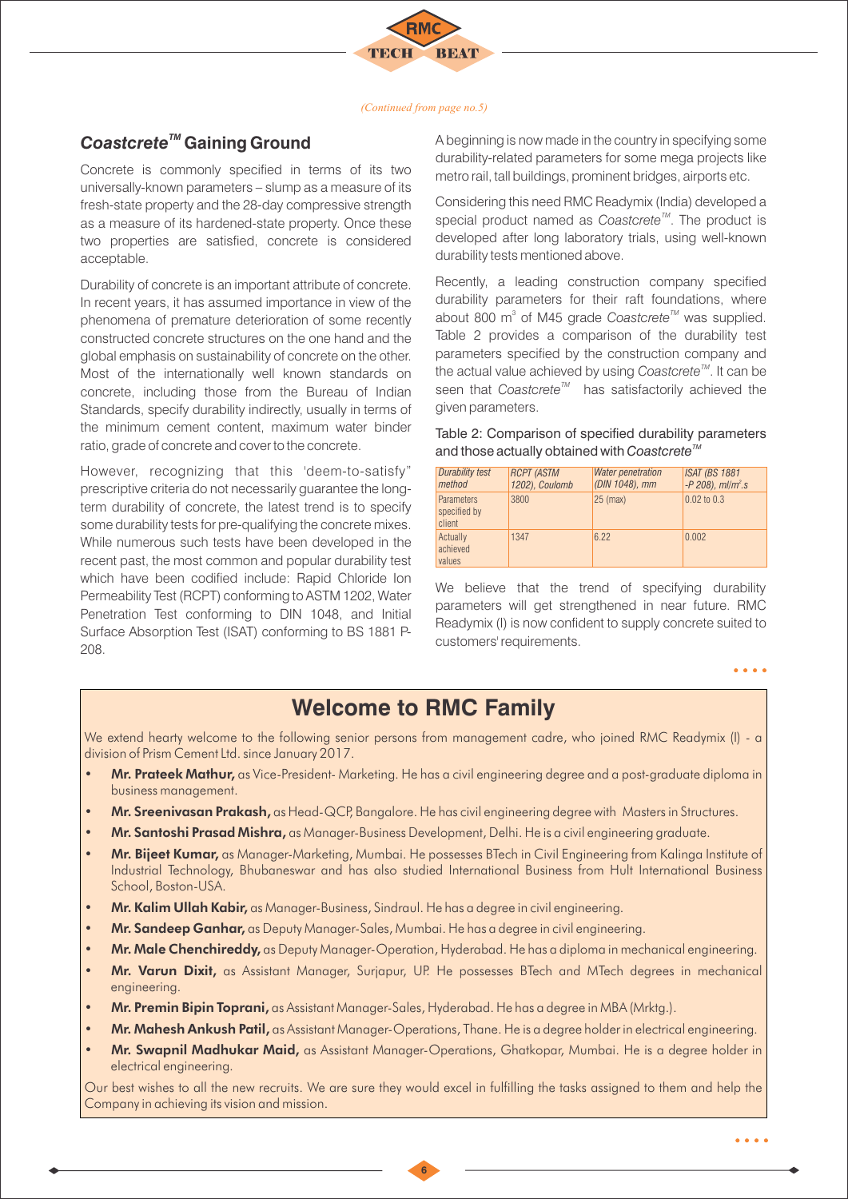

#### *(Continued from page no.5)*

### *TM Coastcrete* **Gaining Ground**

Concrete is commonly specified in terms of its two universally-known parameters – slump as a measure of its fresh-state property and the 28-day compressive strength as a measure of its hardened-state property. Once these two properties are satisfied, concrete is considered acceptable.

Durability of concrete is an important attribute of concrete. In recent years, it has assumed importance in view of the phenomena of premature deterioration of some recently constructed concrete structures on the one hand and the global emphasis on sustainability of concrete on the other. Most of the internationally well known standards on concrete, including those from the Bureau of Indian Standards, specify durability indirectly, usually in terms of the minimum cement content, maximum water binder ratio, grade of concrete and cover to the concrete.

However, recognizing that this 'deem-to-satisfy" prescriptive criteria do not necessarily guarantee the longterm durability of concrete, the latest trend is to specify some durability tests for pre-qualifying the concrete mixes. While numerous such tests have been developed in the recent past, the most common and popular durability test which have been codified include: Rapid Chloride Ion Permeability Test (RCPT) conforming to ASTM 1202, Water Penetration Test conforming to DIN 1048, and Initial Surface Absorption Test (ISAT) conforming to BS 1881 P-208.

A beginning is now made in the country in specifying some durability-related parameters for some mega projects like metro rail, tall buildings, prominent bridges, airports etc.

Considering this need RMC Readymix (India) developed a special product named as *Coastcrete<sup>™</sup>*. The product is developed after long laboratory trials, using well-known durability tests mentioned above.

Recently, a leading construction company specified durability parameters for their raft foundations, where about 800 m<sup>3</sup> of M45 grade *Coastcrete™* was supplied. Table 2 provides a comparison of the durability test parameters specified by the construction company and the actual value achieved by using *Coastcrete<sup>™</sup>*. It can be seen that *Coastcrete<sup>™</sup>* has satisfactorily achieved the given parameters.

Table 2: Comparison of specified durability parameters and those actually obtained with *Coastcrete*<sup>™</sup>

| <b>Durability test</b><br>method            | <b>RCPT (ASTM</b><br>1202), Coulomb | <b>Water penetration</b><br>(DIN 1048), mm | <b>ISAT (BS 1881</b><br>$-P$ 208), $ml/m^2$ .s |
|---------------------------------------------|-------------------------------------|--------------------------------------------|------------------------------------------------|
| <b>Parameters</b><br>specified by<br>client | 3800                                | $25$ (max)                                 | $0.02$ to $0.3$                                |
| Actually<br>achieved<br>values              | 1347                                | 6.22                                       | 0.002                                          |

We believe that the trend of specifying durability parameters will get strengthened in near future. RMC Readymix (I) is now confident to supply concrete suited to customers' requirements.

 $\bullet\bullet\bullet\bullet$ 

# **Welcome to RMC Family**

We extend hearty welcome to the following senior persons from management cadre, who joined RMC Readymix (I) - a division of Prism Cement Ltd. since January 2017.

- Mr. Prateek Mathur, as Vice-President- Marketing. He has a civil engineering degree and a post-graduate diploma in business management.
- Mr. Sreenivasan Prakash, as Head-QCP, Bangalore. He has civil engineering degree with Masters in Structures.
- Mr. Santoshi Prasad Mishra, as Manager-Business Development, Delhi. He is a civil engineering graduate.
- Mr. Bijeet Kumar, as Manager-Marketing, Mumbai. He possesses BTech in Civil Engineering from Kalinga Institute of Industrial Technology, Bhubaneswar and has also studied International Business from Hult International Business School, Boston-USA.
- Mr. Kalim Ullah Kabir, as Manager-Business, Sindraul. He has a degree in civil engineering.
- Mr. Sandeep Ganhar, as Deputy Manager-Sales, Mumbai. He has a degree in civil engineering.
- Mr. Male Chenchireddy, as Deputy Manager-Operation, Hyderabad. He has a diploma in mechanical engineering.
- Mr. Varun Dixit, as Assistant Manager, Surjapur, UP. He possesses BTech and MTech degrees in mechanical engineering.
- Mr. Premin Bipin Toprani, as Assistant Manager-Sales, Hyderabad. He has a degree in MBA (Mrktg.).
- Mr. Mahesh Ankush Patil, as Assistant Manager-Operations, Thane. He is a degree holder in electrical engineering.
- Mr. Swapnil Madhukar Maid, as Assistant Manager-Operations, Ghatkopar, Mumbai. He is a degree holder in electrical engineering.

Our best wishes to all the new recruits. We are sure they would excel in fulfilling the tasks assigned to them and help the Company in achieving its vision and mission.

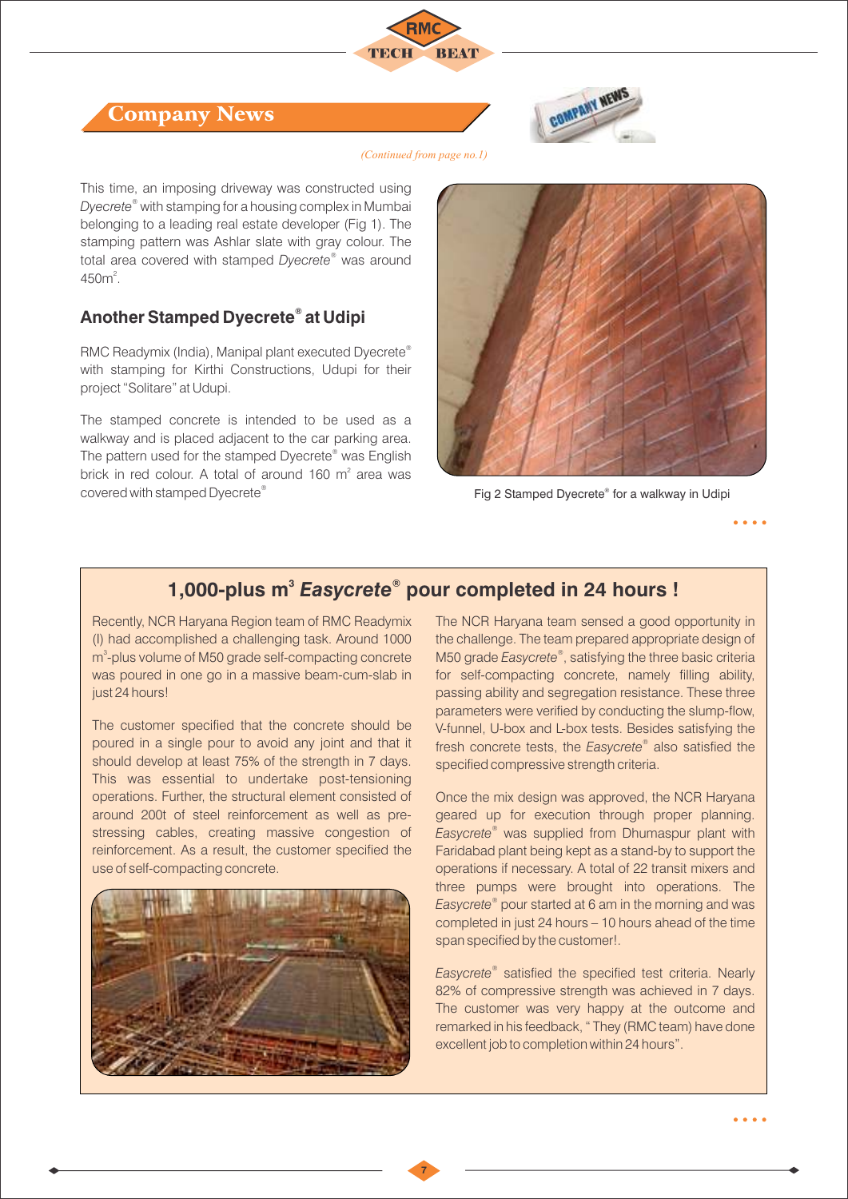



### Company News

*(Continued from page no.1)*

This time, an imposing driveway was constructed using *® Dyecrete* with stamping for a housing complex in Mumbai belonging to a leading real estate developer (Fig 1). The stamping pattern was Ashlar slate with gray colour. The *®* total area covered with stamped *Dyecrete* was around  $450m^2$ .

### **® Another Stamped Dyecrete at Udipi**

RMC Readymix (India), Manipal plant executed Dyecrete® with stamping for Kirthi Constructions, Udupi for their project "Solitare" at Udupi.

The stamped concrete is intended to be used as a walkway and is placed adjacent to the car parking area. The pattern used for the stamped Dyecrete<sup>®</sup> was English brick in red colour. A total of around 160  $m^2$  area was covered with stamped Dyecrete® with stamped Dyecrete® and the stamp of the Stamped Dyecrete®



Fig 2 Stamped Dyecrete® for a walkway in Udipi

# **3** *®* **1,000-plus m** *Easycrete* **pour completed in 24 hours !**

Recently, NCR Haryana Region team of RMC Readymix (I) had accomplished a challenging task. Around 1000 m<sup>3</sup>-plus volume of M50 grade self-compacting concrete was poured in one go in a massive beam-cum-slab in just 24 hours!

The customer specified that the concrete should be poured in a single pour to avoid any joint and that it should develop at least 75% of the strength in 7 days. This was essential to undertake post-tensioning operations. Further, the structural element consisted of around 200t of steel reinforcement as well as prestressing cables, creating massive congestion of reinforcement. As a result, the customer specified the use of self-compacting concrete.



The NCR Haryana team sensed a good opportunity in the challenge. The team prepared appropriate design of *®* M50 grade *Easycrete* , satisfying the three basic criteria for self-compacting concrete, namely filling ability, passing ability and segregation resistance. These three parameters were verified by conducting the slump-flow, V-funnel, U-box and L-box tests. Besides satisfying the *®* fresh concrete tests, the *Easycrete* also satisfied the specified compressive strength criteria.

Once the mix design was approved, the NCR Haryana geared up for execution through proper planning. *® Easycrete* was supplied from Dhumaspur plant with Faridabad plant being kept as a stand-by to support the operations if necessary. A total of 22 transit mixers and three pumps were brought into operations. The *® Easycrete* pour started at 6 am in the morning and was completed in just 24 hours – 10 hours ahead of the time span specified by the customer!.

*® Easycrete* satisfied the specified test criteria. Nearly 82% of compressive strength was achieved in 7 days. The customer was very happy at the outcome and remarked in his feedback, " They (RMC team) have done excellent job to completion within 24 hours".